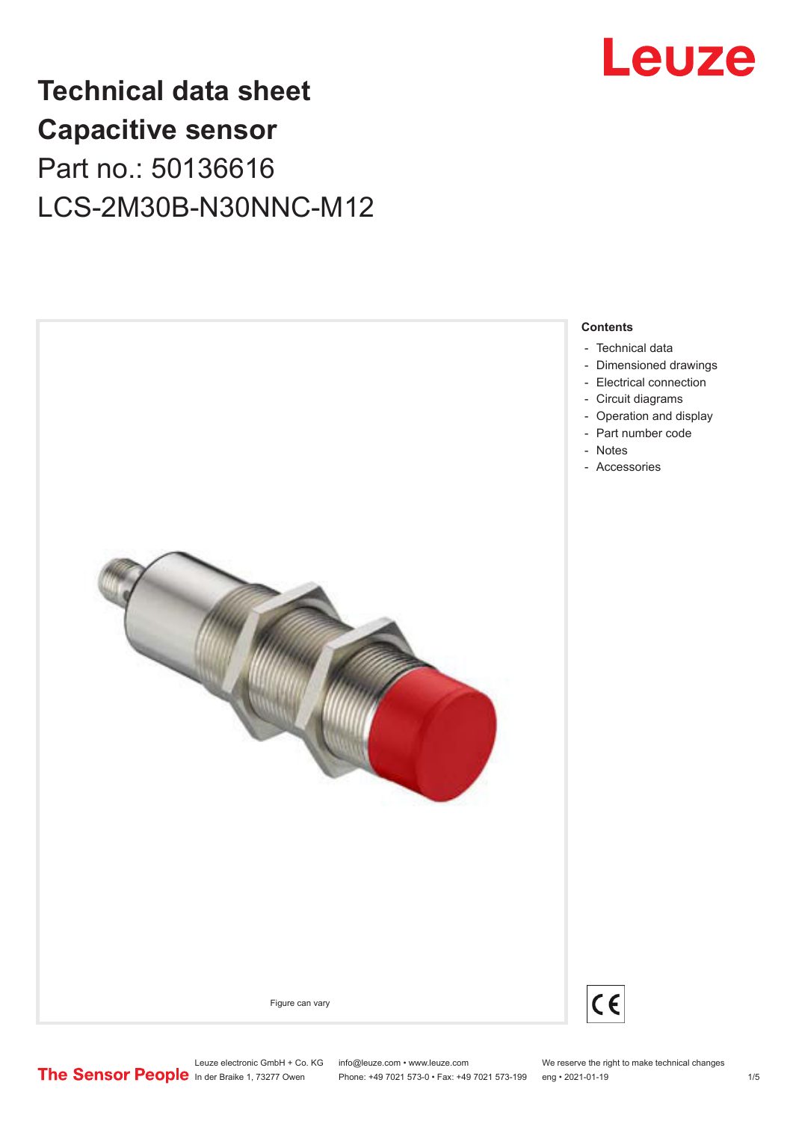

# **Technical data sheet Capacitive sensor** Part no.: 50136616 LCS-2M30B-N30NNC-M12



- [Technical data](#page-1-0)
- [Dimensioned drawings](#page-2-0)
- [Electrical connection](#page-2-0)
- [Circuit diagrams](#page-3-0)
- [Operation and display](#page-3-0) - [Part number code](#page-3-0)
- [Notes](#page-4-0)
- [Accessories](#page-4-0)



 $C \in$ 

Leuze electronic GmbH + Co. KG info@leuze.com • www.leuze.com We reserve the right to make technical changes<br>
The Sensor People in der Braike 1, 73277 Owen Phone: +49 7021 573-0 • Fax: +49 7021 573-199 eng • 2021-01-19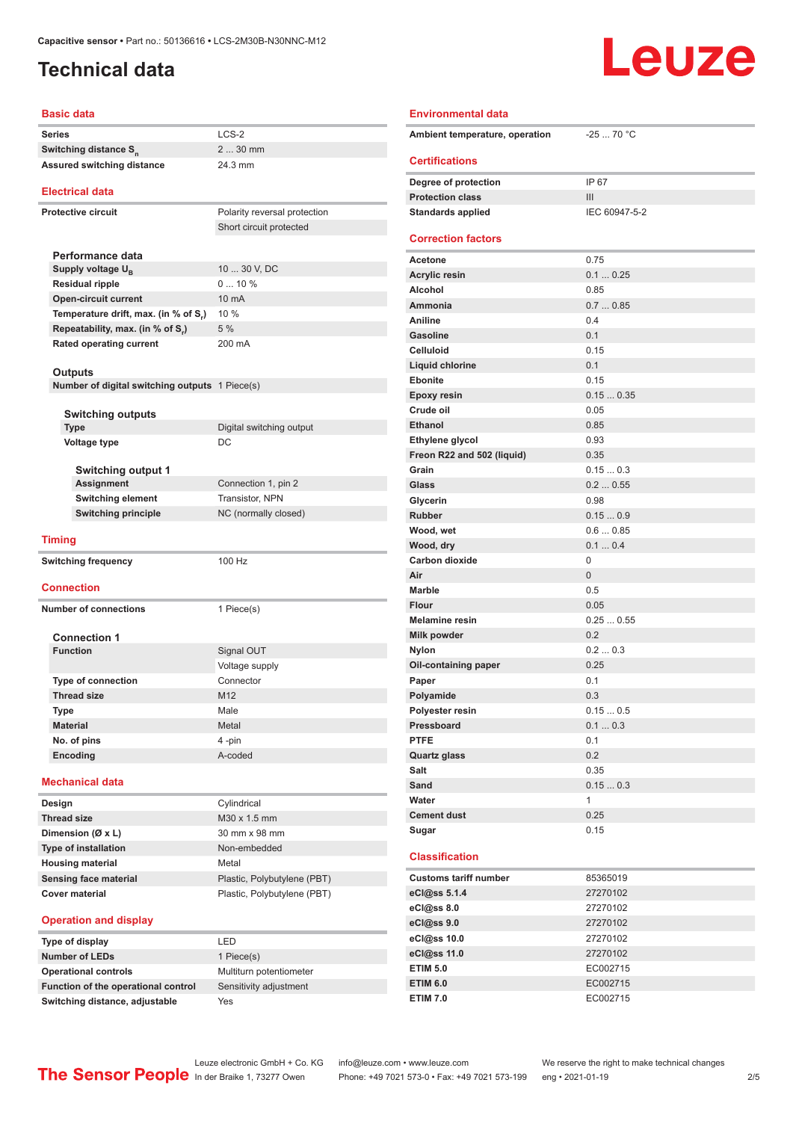## <span id="page-1-0"></span>**Technical data**

# Leuze

| Basic data                   |                                                |                              |  |  |
|------------------------------|------------------------------------------------|------------------------------|--|--|
|                              | <b>Series</b>                                  | $LCS-2$                      |  |  |
|                              | Switching distance S <sub>n</sub>              | 2  30 mm                     |  |  |
| Assured switching distance   |                                                | 24.3 mm                      |  |  |
|                              |                                                |                              |  |  |
|                              | <b>Electrical data</b>                         |                              |  |  |
| <b>Protective circuit</b>    |                                                | Polarity reversal protection |  |  |
|                              |                                                | Short circuit protected      |  |  |
|                              |                                                |                              |  |  |
|                              | Performance data                               |                              |  |  |
|                              | Supply voltage U <sub>B</sub>                  | 10  30 V, DC                 |  |  |
|                              | <b>Residual ripple</b>                         | 010%                         |  |  |
|                              | <b>Open-circuit current</b>                    | 10 mA                        |  |  |
|                              | Temperature drift, max. (in % of S,)           | 10 %                         |  |  |
|                              | Repeatability, max. (in % of S.)               | 5 %                          |  |  |
|                              | <b>Rated operating current</b>                 | 200 mA                       |  |  |
|                              | Outputs                                        |                              |  |  |
|                              | Number of digital switching outputs 1 Piece(s) |                              |  |  |
|                              |                                                |                              |  |  |
|                              | <b>Switching outputs</b>                       |                              |  |  |
|                              | <b>Type</b>                                    | Digital switching output     |  |  |
|                              | Voltage type                                   | DC                           |  |  |
|                              |                                                |                              |  |  |
|                              | <b>Switching output 1</b>                      |                              |  |  |
|                              | <b>Assignment</b>                              | Connection 1, pin 2          |  |  |
|                              | <b>Switching element</b>                       | Transistor, NPN              |  |  |
| <b>Switching principle</b>   |                                                | NC (normally closed)         |  |  |
|                              | <b>Timing</b>                                  |                              |  |  |
|                              |                                                |                              |  |  |
|                              | <b>Switching frequency</b>                     | 100 Hz                       |  |  |
|                              | <b>Connection</b>                              |                              |  |  |
|                              |                                                |                              |  |  |
|                              | <b>Number of connections</b>                   | 1 Piece(s)                   |  |  |
|                              | <b>Connection 1</b>                            |                              |  |  |
|                              | <b>Function</b>                                | Signal OUT                   |  |  |
|                              |                                                | Voltage supply               |  |  |
|                              | <b>Type of connection</b>                      | Connector                    |  |  |
|                              | <b>Thread size</b>                             | M12                          |  |  |
|                              | Type                                           | Male                         |  |  |
|                              | <b>Material</b>                                | Metal                        |  |  |
|                              | No. of pins                                    | 4-pin                        |  |  |
|                              | Encoding                                       | A-coded                      |  |  |
| <b>Mechanical data</b>       |                                                |                              |  |  |
|                              | Design                                         | Cylindrical                  |  |  |
|                              | <b>Thread size</b>                             | M30 x 1.5 mm                 |  |  |
| Dimension (Ø x L)            |                                                | 30 mm x 98 mm                |  |  |
|                              | <b>Type of installation</b>                    | Non-embedded                 |  |  |
|                              | <b>Housing material</b>                        | Metal                        |  |  |
| <b>Sensing face material</b> |                                                | Plastic, Polybutylene (PBT)  |  |  |
| <b>Cover material</b>        |                                                | Plastic, Polybutylene (PBT)  |  |  |
|                              |                                                |                              |  |  |
|                              |                                                |                              |  |  |

### **Operation and display**

| Type of display                     | <b>ED</b>               |
|-------------------------------------|-------------------------|
| <b>Number of LEDs</b>               | 1 Piece(s)              |
| <b>Operational controls</b>         | Multiturn potentiometer |
| Function of the operational control | Sensitivity adjustment  |
| Switching distance, adjustable      | Yes                     |

| Plastic, Polybutylene (PBT) |
|-----------------------------|
| I FD                        |
| 1 Piece(s)                  |
| Multiturn potentiometer     |
| Sensitivity adjustment      |

| <b>Environmental data</b>      |               |
|--------------------------------|---------------|
| Ambient temperature, operation | $-2570 °C$    |
| <b>Certifications</b>          |               |
| Degree of protection           | IP 67         |
| <b>Protection class</b>        | III           |
| <b>Standards applied</b>       | IEC 60947-5-2 |
| <b>Correction factors</b>      |               |
| Acetone                        | 0.75          |
| <b>Acrylic resin</b>           | 0.10.25       |
| <b>Alcohol</b>                 | 0.85          |
| Ammonia                        | 0.70.85       |
| <b>Aniline</b>                 | 0.4           |
| <b>Gasoline</b>                | 0.1           |
| Celluloid                      | 0.15          |
| Liquid chlorine                | 0.1           |
| <b>Ebonite</b>                 | 0.15          |
| <b>Epoxy resin</b>             | 0.150.35      |
| Crude oil                      | 0.05          |
| <b>Ethanol</b>                 | 0.85          |
| Ethylene glycol                | 0.93          |
| Freon R22 and 502 (liquid)     | 0.35          |
| Grain                          | 0.150.3       |
| Glass                          | 0.20.55       |
| Glycerin                       | 0.98          |
| <b>Rubber</b>                  | 0.150.9       |
| Wood, wet                      | 0.60.85       |
| Wood, dry                      | 0.10.4        |
| <b>Carbon dioxide</b>          | 0             |
| Air                            | 0             |
| <b>Marble</b>                  | 0.5           |
| <b>Flour</b>                   | 0.05          |
| <b>Melamine resin</b>          | 0.250.55      |
| Milk powder                    | 0.2           |
| <b>Nylon</b>                   | 0.20.3        |
| Oil-containing paper           | 0.25          |
| Paper                          | 0.1           |
| Polyamide                      | 0.3           |
| Polyester resin                | 0.150.5       |
| Pressboard                     | 0.10.3        |
| <b>PTFE</b>                    | 0.1           |
| <b>Quartz glass</b>            | 0.2           |
| Salt                           | 0.35          |
| Sand                           | 0.150.3       |
| Water                          | 1             |
| <b>Cement dust</b>             | 0.25          |
| Sugar                          | 0.15          |
| <b>Classification</b>          |               |
| <b>Customs tariff number</b>   | 85365019      |
| eCl@ss 5.1.4                   | 27270102      |
| eCl@ss 8.0                     | 27270102      |
| eCl@ss 9.0                     | 27270102      |
| eCl@ss 10.0                    | 27270102      |
| eCl@ss 11.0                    | 27270102      |
| <b>ETIM 5.0</b>                | EC002715      |

Leuze electronic GmbH + Co. KG info@leuze.com • www.leuze.com We reserve the right to make technical changes<br>
The Sensor People in der Braike 1, 73277 Owen Phone: +49 7021 573-0 • Fax: +49 7021 573-199 eng • 2021-01-19 Phone: +49 7021 573-0 • Fax: +49 7021 573-199 eng • 2021-01-19

**ETIM 6.0** EC002715 **ETIM 7.0** EC002715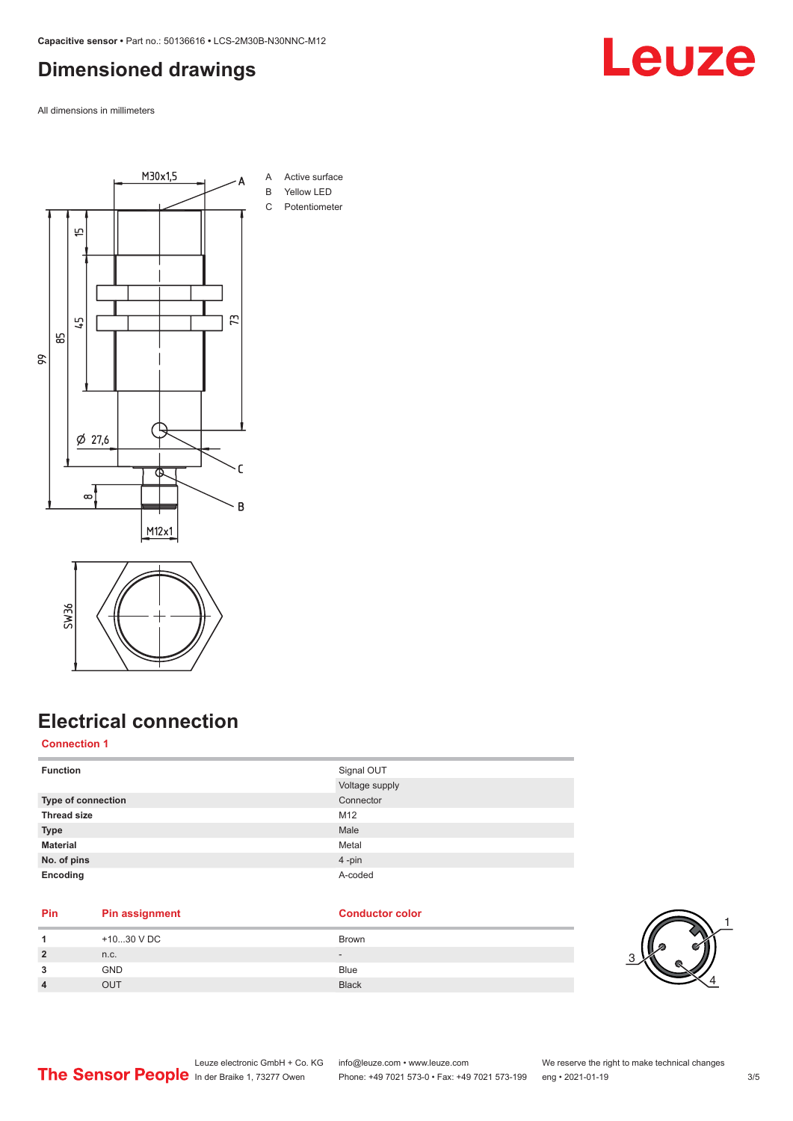### <span id="page-2-0"></span>**Dimensioned drawings**

All dimensions in millimeters





## **Electrical connection**

### **Connection 1**

| <b>Function</b>    | Signal OUT     |
|--------------------|----------------|
|                    | Voltage supply |
| Type of connection | Connector      |
| <b>Thread size</b> | M12            |
| <b>Type</b>        | Male           |
| <b>Material</b>    | Metal          |
| No. of pins        | 4-pin          |
| Encoding           | A-coded        |

### **Pin Pin assignment Conductor Conductor Color**

|                | +1030 V DC | Brown        |     |
|----------------|------------|--------------|-----|
| $\overline{2}$ | n.c.       | $\sim$       | ₽   |
| 3              | <b>GND</b> | <b>Blue</b>  | . ت |
| 4              | OUT        | <b>Black</b> |     |



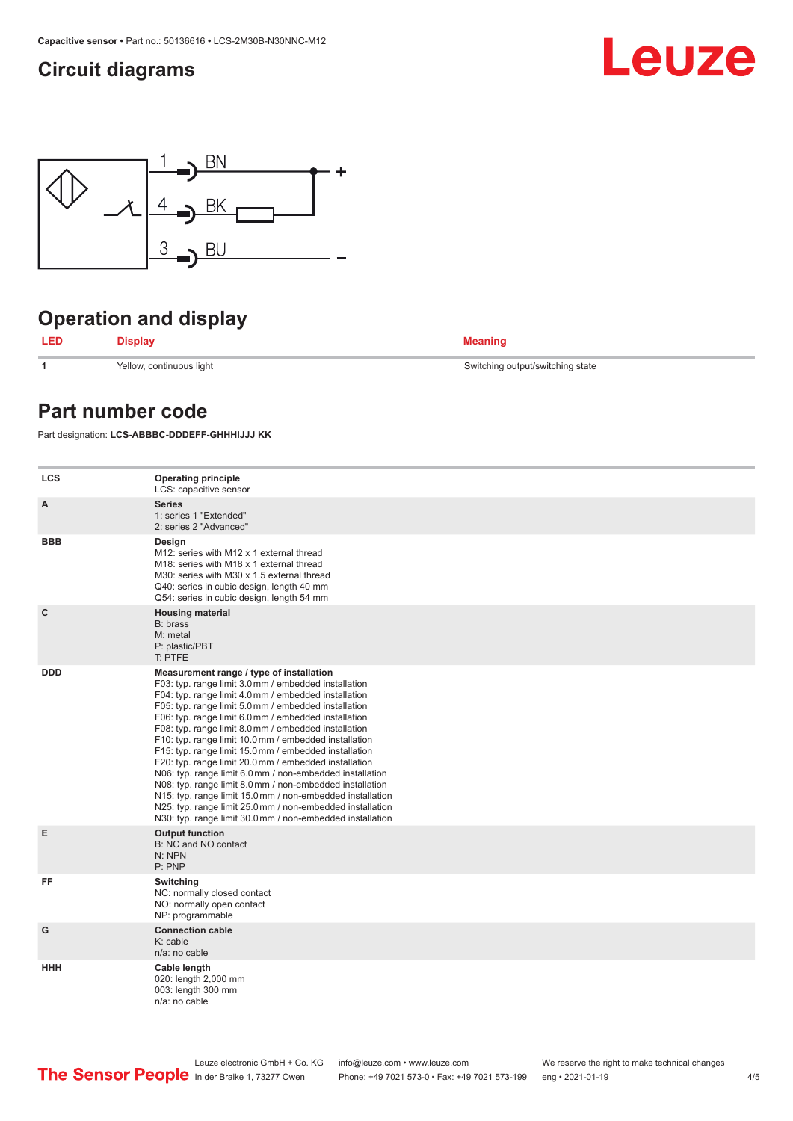### <span id="page-3-0"></span>**Circuit diagrams**





# **Operation and display**

**LED Display Meaning**

**1** Yellow, continuous light Switching output/switching state

### **Part number code**

Part designation: **LCS-ABBBC-DDDEFF-GHHHIJJJ KK**

| <b>LCS</b>   | <b>Operating principle</b><br>LCS: capacitive sensor                                                                                                                                                                                                                                                                                                                                                                                                                                                                                                                                                                                                                                                                                                                                                                       |
|--------------|----------------------------------------------------------------------------------------------------------------------------------------------------------------------------------------------------------------------------------------------------------------------------------------------------------------------------------------------------------------------------------------------------------------------------------------------------------------------------------------------------------------------------------------------------------------------------------------------------------------------------------------------------------------------------------------------------------------------------------------------------------------------------------------------------------------------------|
| A            | <b>Series</b><br>1: series 1 "Extended"<br>2: series 2 "Advanced"                                                                                                                                                                                                                                                                                                                                                                                                                                                                                                                                                                                                                                                                                                                                                          |
| <b>BBB</b>   | Design<br>M12: series with M12 x 1 external thread<br>M18: series with M18 x 1 external thread<br>M30: series with M30 x 1.5 external thread<br>Q40: series in cubic design, length 40 mm<br>Q54: series in cubic design, length 54 mm                                                                                                                                                                                                                                                                                                                                                                                                                                                                                                                                                                                     |
| $\mathbf{C}$ | <b>Housing material</b><br>B: brass<br>M: metal<br>P: plastic/PBT<br>T: PTFE                                                                                                                                                                                                                                                                                                                                                                                                                                                                                                                                                                                                                                                                                                                                               |
| <b>DDD</b>   | Measurement range / type of installation<br>F03: typ. range limit 3.0 mm / embedded installation<br>F04: typ. range limit 4.0 mm / embedded installation<br>F05: typ. range limit 5.0 mm / embedded installation<br>F06: typ. range limit 6.0 mm / embedded installation<br>F08: typ. range limit 8.0 mm / embedded installation<br>F10: typ. range limit 10.0 mm / embedded installation<br>F15: typ. range limit 15.0 mm / embedded installation<br>F20: typ. range limit 20.0 mm / embedded installation<br>N06: typ. range limit 6.0 mm / non-embedded installation<br>N08: typ. range limit 8.0 mm / non-embedded installation<br>N15: typ. range limit 15.0 mm / non-embedded installation<br>N25: typ. range limit 25.0 mm / non-embedded installation<br>N30: typ. range limit 30.0 mm / non-embedded installation |
| E            | <b>Output function</b><br>B: NC and NO contact<br>N: NPN<br>P: PNP                                                                                                                                                                                                                                                                                                                                                                                                                                                                                                                                                                                                                                                                                                                                                         |
| FF           | Switching<br>NC: normally closed contact<br>NO: normally open contact<br>NP: programmable                                                                                                                                                                                                                                                                                                                                                                                                                                                                                                                                                                                                                                                                                                                                  |
| G            | <b>Connection cable</b><br>$K:$ cable<br>n/a: no cable                                                                                                                                                                                                                                                                                                                                                                                                                                                                                                                                                                                                                                                                                                                                                                     |
| HHH          | Cable length<br>020: length 2,000 mm<br>003: length 300 mm<br>n/a: no cable                                                                                                                                                                                                                                                                                                                                                                                                                                                                                                                                                                                                                                                                                                                                                |